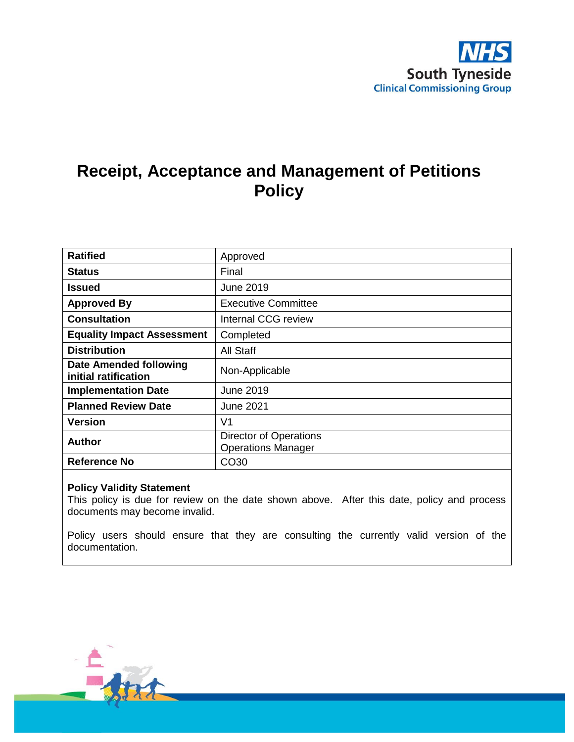

## **Receipt, Acceptance and Management of Petitions Policy**

| <b>Ratified</b>                                       | Approved                                                   |
|-------------------------------------------------------|------------------------------------------------------------|
| <b>Status</b>                                         | Final                                                      |
| Issued                                                | June 2019                                                  |
| <b>Approved By</b>                                    | <b>Executive Committee</b>                                 |
| <b>Consultation</b>                                   | Internal CCG review                                        |
| <b>Equality Impact Assessment</b>                     | Completed                                                  |
| <b>Distribution</b>                                   | All Staff                                                  |
| <b>Date Amended following</b><br>initial ratification | Non-Applicable                                             |
| <b>Implementation Date</b>                            | June 2019                                                  |
| <b>Planned Review Date</b>                            | <b>June 2021</b>                                           |
| <b>Version</b>                                        | V <sub>1</sub>                                             |
| <b>Author</b>                                         | <b>Director of Operations</b><br><b>Operations Manager</b> |
| <b>Reference No</b>                                   | CO <sub>30</sub>                                           |

#### **Policy Validity Statement**

This policy is due for review on the date shown above. After this date, policy and process documents may become invalid.

Policy users should ensure that they are consulting the currently valid version of the documentation.

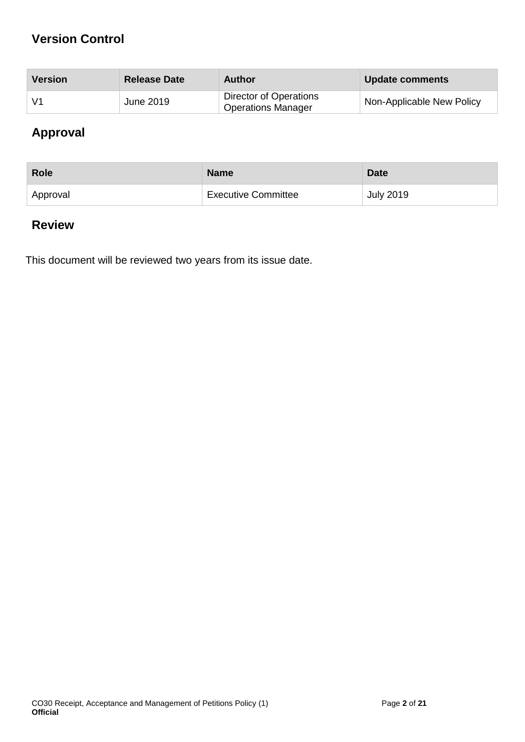## **Version Control**

| Version        | <b>Release Date</b> | Author                                              | <b>Update comments</b>    |
|----------------|---------------------|-----------------------------------------------------|---------------------------|
| V <sub>1</sub> | <b>June 2019</b>    | Director of Operations<br><b>Operations Manager</b> | Non-Applicable New Policy |

## **Approval**

| <b>Role</b> | <b>Name</b>                | <b>Date</b>      |
|-------------|----------------------------|------------------|
| Approval    | <b>Executive Committee</b> | <b>July 2019</b> |

## **Review**

This document will be reviewed two years from its issue date.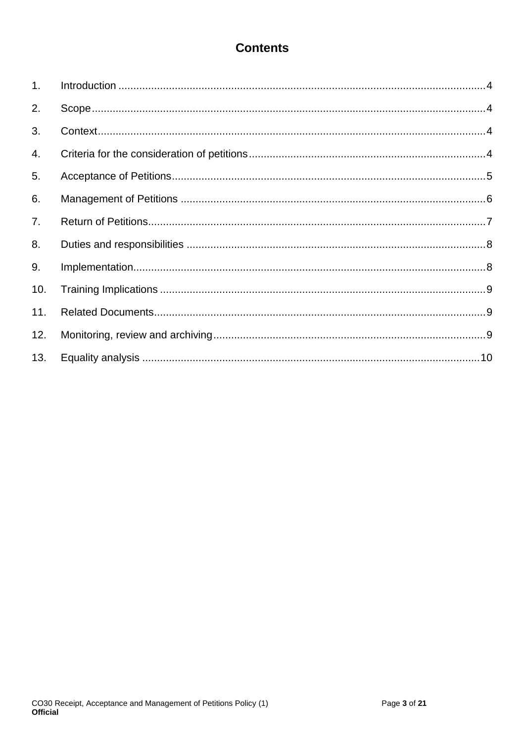## **Contents**

| 1 <sub>1</sub> |  |
|----------------|--|
| 2.             |  |
| 3.             |  |
| 4.             |  |
| 5.             |  |
| 6.             |  |
| 7.             |  |
| 8.             |  |
| 9.             |  |
| 10.            |  |
| 11.            |  |
| 12.            |  |
| 13.            |  |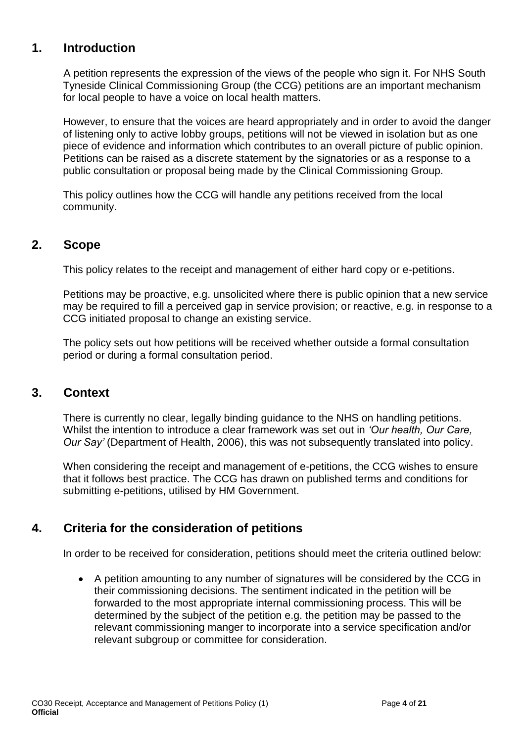### <span id="page-3-0"></span>**1. Introduction**

A petition represents the expression of the views of the people who sign it. For NHS South Tyneside Clinical Commissioning Group (the CCG) petitions are an important mechanism for local people to have a voice on local health matters.

However, to ensure that the voices are heard appropriately and in order to avoid the danger of listening only to active lobby groups, petitions will not be viewed in isolation but as one piece of evidence and information which contributes to an overall picture of public opinion. Petitions can be raised as a discrete statement by the signatories or as a response to a public consultation or proposal being made by the Clinical Commissioning Group.

This policy outlines how the CCG will handle any petitions received from the local community.

### <span id="page-3-1"></span>**2. Scope**

This policy relates to the receipt and management of either hard copy or e-petitions.

Petitions may be proactive, e.g. unsolicited where there is public opinion that a new service may be required to fill a perceived gap in service provision; or reactive, e.g. in response to a CCG initiated proposal to change an existing service.

The policy sets out how petitions will be received whether outside a formal consultation period or during a formal consultation period.

### <span id="page-3-2"></span>**3. Context**

There is currently no clear, legally binding guidance to the NHS on handling petitions. Whilst the intention to introduce a clear framework was set out in *'Our health, Our Care, Our Say'* (Department of Health, 2006), this was not subsequently translated into policy.

When considering the receipt and management of e-petitions, the CCG wishes to ensure that it follows best practice. The CCG has drawn on published terms and conditions for submitting e-petitions, utilised by HM Government.

## <span id="page-3-3"></span>**4. Criteria for the consideration of petitions**

In order to be received for consideration, petitions should meet the criteria outlined below:

 A petition amounting to any number of signatures will be considered by the CCG in their commissioning decisions. The sentiment indicated in the petition will be forwarded to the most appropriate internal commissioning process. This will be determined by the subject of the petition e.g. the petition may be passed to the relevant commissioning manger to incorporate into a service specification and/or relevant subgroup or committee for consideration.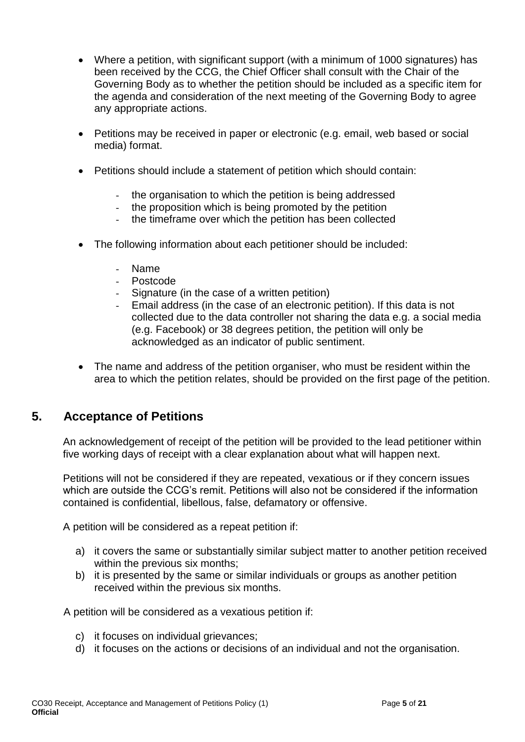- Where a petition, with significant support (with a minimum of 1000 signatures) has been received by the CCG, the Chief Officer shall consult with the Chair of the Governing Body as to whether the petition should be included as a specific item for the agenda and consideration of the next meeting of the Governing Body to agree any appropriate actions.
- Petitions may be received in paper or electronic (e.g. email, web based or social media) format.
- Petitions should include a statement of petition which should contain:
	- the organisation to which the petition is being addressed
	- the proposition which is being promoted by the petition
	- the timeframe over which the petition has been collected
- The following information about each petitioner should be included:
	- Name
	- Postcode
	- Signature (in the case of a written petition)
	- Email address (in the case of an electronic petition). If this data is not collected due to the data controller not sharing the data e.g. a social media (e.g. Facebook) or 38 degrees petition, the petition will only be acknowledged as an indicator of public sentiment.
- The name and address of the petition organiser, who must be resident within the area to which the petition relates, should be provided on the first page of the petition.

## <span id="page-4-0"></span>**5. Acceptance of Petitions**

An acknowledgement of receipt of the petition will be provided to the lead petitioner within five working days of receipt with a clear explanation about what will happen next.

Petitions will not be considered if they are repeated, vexatious or if they concern issues which are outside the CCG's remit. Petitions will also not be considered if the information contained is confidential, libellous, false, defamatory or offensive.

A petition will be considered as a repeat petition if:

- a) it covers the same or substantially similar subject matter to another petition received within the previous six months;
- b) it is presented by the same or similar individuals or groups as another petition received within the previous six months.

A petition will be considered as a vexatious petition if:

- c) it focuses on individual grievances;
- d) it focuses on the actions or decisions of an individual and not the organisation.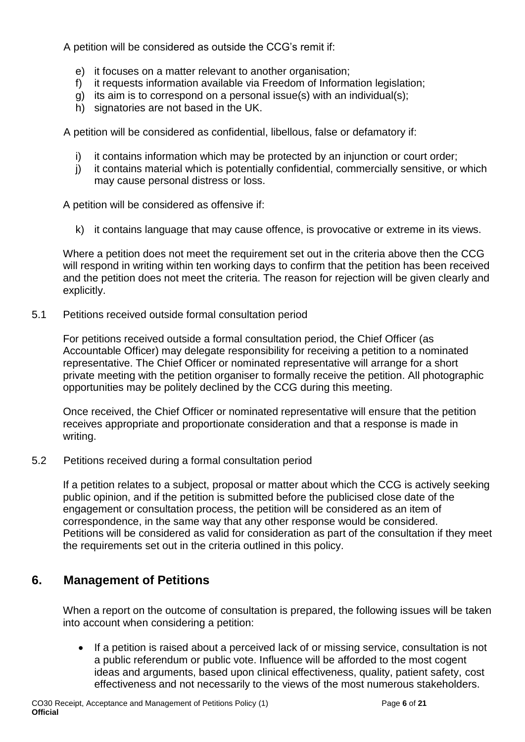A petition will be considered as outside the CCG's remit if:

- e) it focuses on a matter relevant to another organisation;
- f) it requests information available via Freedom of Information legislation;
- g) its aim is to correspond on a personal issue(s) with an individual(s);
- h) signatories are not based in the UK.

A petition will be considered as confidential, libellous, false or defamatory if:

- i) it contains information which may be protected by an injunction or court order;
- j) it contains material which is potentially confidential, commercially sensitive, or which may cause personal distress or loss.

A petition will be considered as offensive if:

k) it contains language that may cause offence, is provocative or extreme in its views.

Where a petition does not meet the requirement set out in the criteria above then the CCG will respond in writing within ten working days to confirm that the petition has been received and the petition does not meet the criteria. The reason for rejection will be given clearly and explicitly.

5.1 Petitions received outside formal consultation period

For petitions received outside a formal consultation period, the Chief Officer (as Accountable Officer) may delegate responsibility for receiving a petition to a nominated representative. The Chief Officer or nominated representative will arrange for a short private meeting with the petition organiser to formally receive the petition. All photographic opportunities may be politely declined by the CCG during this meeting.

Once received, the Chief Officer or nominated representative will ensure that the petition receives appropriate and proportionate consideration and that a response is made in writing.

5.2 Petitions received during a formal consultation period

If a petition relates to a subject, proposal or matter about which the CCG is actively seeking public opinion, and if the petition is submitted before the publicised close date of the engagement or consultation process, the petition will be considered as an item of correspondence, in the same way that any other response would be considered. Petitions will be considered as valid for consideration as part of the consultation if they meet the requirements set out in the criteria outlined in this policy.

## <span id="page-5-0"></span>**6. Management of Petitions**

When a report on the outcome of consultation is prepared, the following issues will be taken into account when considering a petition:

 If a petition is raised about a perceived lack of or missing service, consultation is not a public referendum or public vote. Influence will be afforded to the most cogent ideas and arguments, based upon clinical effectiveness, quality, patient safety, cost effectiveness and not necessarily to the views of the most numerous stakeholders.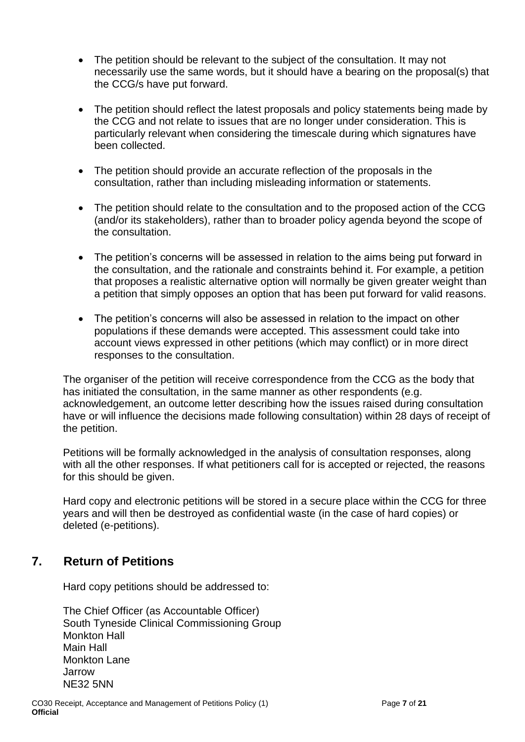- The petition should be relevant to the subject of the consultation. It may not necessarily use the same words, but it should have a bearing on the proposal(s) that the CCG/s have put forward.
- The petition should reflect the latest proposals and policy statements being made by the CCG and not relate to issues that are no longer under consideration. This is particularly relevant when considering the timescale during which signatures have been collected.
- The petition should provide an accurate reflection of the proposals in the consultation, rather than including misleading information or statements.
- The petition should relate to the consultation and to the proposed action of the CCG (and/or its stakeholders), rather than to broader policy agenda beyond the scope of the consultation.
- The petition's concerns will be assessed in relation to the aims being put forward in the consultation, and the rationale and constraints behind it. For example, a petition that proposes a realistic alternative option will normally be given greater weight than a petition that simply opposes an option that has been put forward for valid reasons.
- The petition's concerns will also be assessed in relation to the impact on other populations if these demands were accepted. This assessment could take into account views expressed in other petitions (which may conflict) or in more direct responses to the consultation.

The organiser of the petition will receive correspondence from the CCG as the body that has initiated the consultation, in the same manner as other respondents (e.g. acknowledgement, an outcome letter describing how the issues raised during consultation have or will influence the decisions made following consultation) within 28 days of receipt of the petition.

Petitions will be formally acknowledged in the analysis of consultation responses, along with all the other responses. If what petitioners call for is accepted or rejected, the reasons for this should be given.

Hard copy and electronic petitions will be stored in a secure place within the CCG for three years and will then be destroyed as confidential waste (in the case of hard copies) or deleted (e-petitions).

### <span id="page-6-0"></span>**7. Return of Petitions**

Hard copy petitions should be addressed to:

The Chief Officer (as Accountable Officer) South Tyneside Clinical Commissioning Group Monkton Hall Main Hall Monkton Lane Jarrow NE32 5NN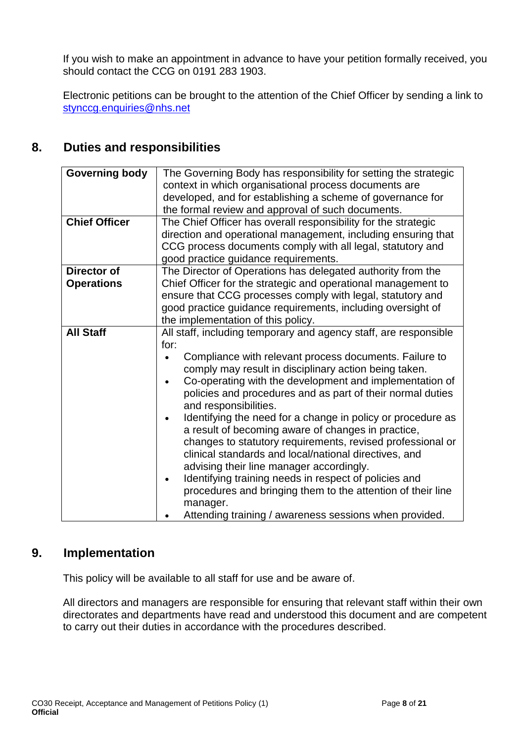If you wish to make an appointment in advance to have your petition formally received, you should contact the CCG on 0191 283 1903.

Electronic petitions can be brought to the attention of the Chief Officer by sending a link to [stynccg.enquiries@nhs.net](mailto:stynccg.enquiries@nhs.net)

## <span id="page-7-0"></span>**8. Duties and responsibilities**

| <b>Governing body</b><br><b>Chief Officer</b> | The Governing Body has responsibility for setting the strategic<br>context in which organisational process documents are<br>developed, and for establishing a scheme of governance for<br>the formal review and approval of such documents.<br>The Chief Officer has overall responsibility for the strategic<br>direction and operational management, including ensuring that<br>CCG process documents comply with all legal, statutory and<br>good practice guidance requirements.                                                                                                                                                                                                                                                                                                                                                                          |  |  |  |
|-----------------------------------------------|---------------------------------------------------------------------------------------------------------------------------------------------------------------------------------------------------------------------------------------------------------------------------------------------------------------------------------------------------------------------------------------------------------------------------------------------------------------------------------------------------------------------------------------------------------------------------------------------------------------------------------------------------------------------------------------------------------------------------------------------------------------------------------------------------------------------------------------------------------------|--|--|--|
| Director of                                   | The Director of Operations has delegated authority from the                                                                                                                                                                                                                                                                                                                                                                                                                                                                                                                                                                                                                                                                                                                                                                                                   |  |  |  |
| <b>Operations</b>                             | Chief Officer for the strategic and operational management to<br>ensure that CCG processes comply with legal, statutory and<br>good practice guidance requirements, including oversight of<br>the implementation of this policy.                                                                                                                                                                                                                                                                                                                                                                                                                                                                                                                                                                                                                              |  |  |  |
| <b>All Staff</b>                              | All staff, including temporary and agency staff, are responsible<br>for:<br>Compliance with relevant process documents. Failure to<br>comply may result in disciplinary action being taken.<br>Co-operating with the development and implementation of<br>$\bullet$<br>policies and procedures and as part of their normal duties<br>and responsibilities.<br>Identifying the need for a change in policy or procedure as<br>a result of becoming aware of changes in practice,<br>changes to statutory requirements, revised professional or<br>clinical standards and local/national directives, and<br>advising their line manager accordingly.<br>Identifying training needs in respect of policies and<br>$\bullet$<br>procedures and bringing them to the attention of their line<br>manager.<br>Attending training / awareness sessions when provided. |  |  |  |

### <span id="page-7-1"></span>**9. Implementation**

This policy will be available to all staff for use and be aware of.

<span id="page-7-2"></span>All directors and managers are responsible for ensuring that relevant staff within their own directorates and departments have read and understood this document and are competent to carry out their duties in accordance with the procedures described.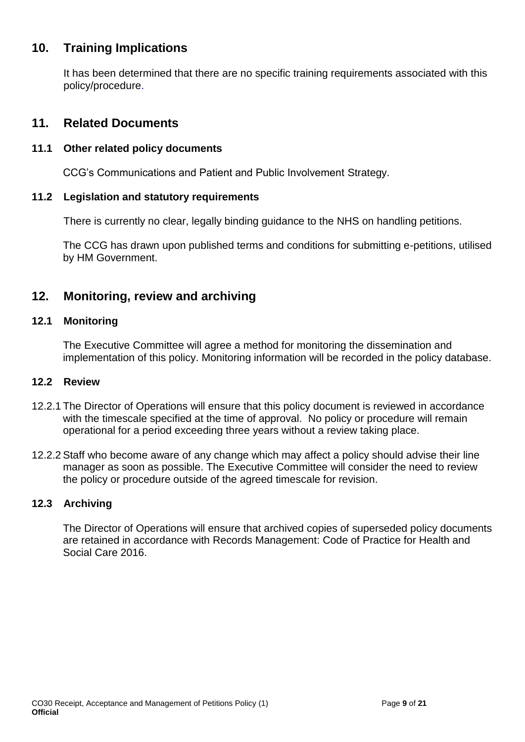## **10. Training Implications**

It has been determined that there are no specific training requirements associated with this policy/procedure.

### <span id="page-8-0"></span>**11. Related Documents**

#### **11.1 Other related policy documents**

CCG's Communications and Patient and Public Involvement Strategy.

#### **11.2 Legislation and statutory requirements**

There is currently no clear, legally binding guidance to the NHS on handling petitions.

The CCG has drawn upon published terms and conditions for submitting e-petitions, utilised by HM Government.

### <span id="page-8-1"></span>**12. Monitoring, review and archiving**

#### **12.1 Monitoring**

The Executive Committee will agree a method for monitoring the dissemination and implementation of this policy. Monitoring information will be recorded in the policy database.

#### **12.2 Review**

- 12.2.1 The Director of Operations will ensure that this policy document is reviewed in accordance with the timescale specified at the time of approval. No policy or procedure will remain operational for a period exceeding three years without a review taking place.
- 12.2.2 Staff who become aware of any change which may affect a policy should advise their line manager as soon as possible. The Executive Committee will consider the need to review the policy or procedure outside of the agreed timescale for revision.

#### **12.3 Archiving**

The Director of Operations will ensure that archived copies of superseded policy documents are retained in accordance with Records Management: Code of Practice for Health and Social Care 2016.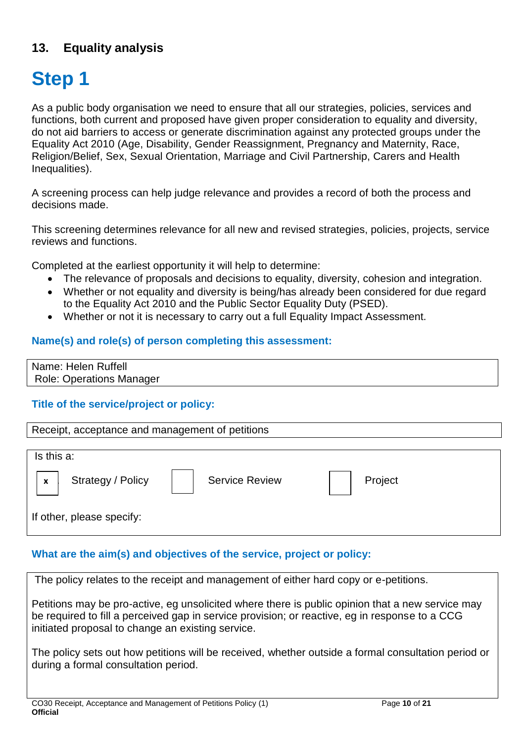## <span id="page-9-0"></span>**13. Equality analysis**

# **Step 1**

As a public body organisation we need to ensure that all our strategies, policies, services and functions, both current and proposed have given proper consideration to equality and diversity, do not aid barriers to access or generate discrimination against any protected groups under the Equality Act 2010 (Age, Disability, Gender Reassignment, Pregnancy and Maternity, Race, Religion/Belief, Sex, Sexual Orientation, Marriage and Civil Partnership, Carers and Health Inequalities).

A screening process can help judge relevance and provides a record of both the process and decisions made.

This screening determines relevance for all new and revised strategies, policies, projects, service reviews and functions.

Completed at the earliest opportunity it will help to determine:

- The relevance of proposals and decisions to equality, diversity, cohesion and integration.
- Whether or not equality and diversity is being/has already been considered for due regard to the Equality Act 2010 and the Public Sector Equality Duty (PSED).
- Whether or not it is necessary to carry out a full Equality Impact Assessment.

#### **Name(s) and role(s) of person completing this assessment:**

Name: Helen Ruffell Role: Operations Manager

#### **Title of the service/project or policy:**



#### **What are the aim(s) and objectives of the service, project or policy:**

The policy relates to the receipt and management of either hard copy or e-petitions.

Petitions may be pro-active, eg unsolicited where there is public opinion that a new service may be required to fill a perceived gap in service provision; or reactive, eg in response to a CCG initiated proposal to change an existing service.

The policy sets out how petitions will be received, whether outside a formal consultation period or during a formal consultation period.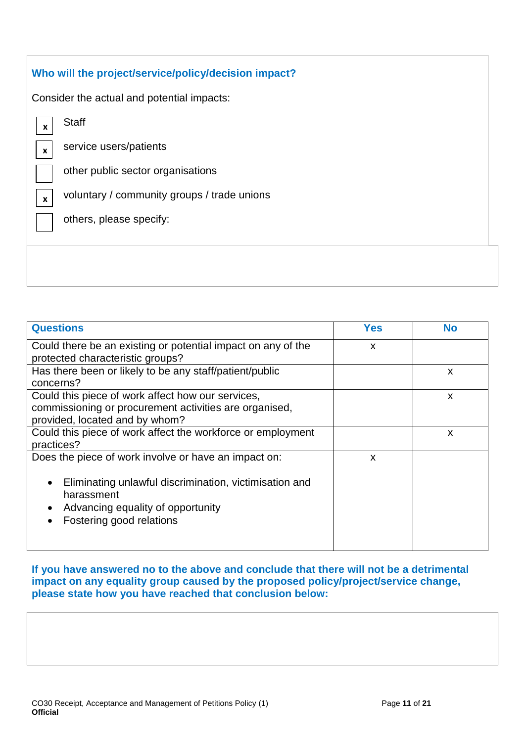| Who will the project/service/policy/decision impact?                     |  |  |  |  |
|--------------------------------------------------------------------------|--|--|--|--|
| Consider the actual and potential impacts:                               |  |  |  |  |
| <b>Staff</b><br>$\boldsymbol{x}$                                         |  |  |  |  |
| service users/patients<br>$\boldsymbol{\mathsf{x}}$                      |  |  |  |  |
| other public sector organisations                                        |  |  |  |  |
| voluntary / community groups / trade unions<br>$\boldsymbol{\mathsf{x}}$ |  |  |  |  |
| others, please specify:                                                  |  |  |  |  |
|                                                                          |  |  |  |  |
|                                                                          |  |  |  |  |
|                                                                          |  |  |  |  |

| <b>Questions</b>                                                                                                                                                                              | <b>Yes</b> | <b>No</b> |
|-----------------------------------------------------------------------------------------------------------------------------------------------------------------------------------------------|------------|-----------|
| Could there be an existing or potential impact on any of the<br>protected characteristic groups?                                                                                              | X          |           |
| Has there been or likely to be any staff/patient/public<br>concerns?                                                                                                                          |            | X         |
| Could this piece of work affect how our services,<br>commissioning or procurement activities are organised,<br>provided, located and by whom?                                                 |            | X         |
| Could this piece of work affect the workforce or employment<br>practices?                                                                                                                     |            | X         |
| Does the piece of work involve or have an impact on:<br>Eliminating unlawful discrimination, victimisation and<br>harassment<br>Advancing equality of opportunity<br>Fostering good relations | X          |           |

**If you have answered no to the above and conclude that there will not be a detrimental impact on any equality group caused by the proposed policy/project/service change, please state how you have reached that conclusion below:**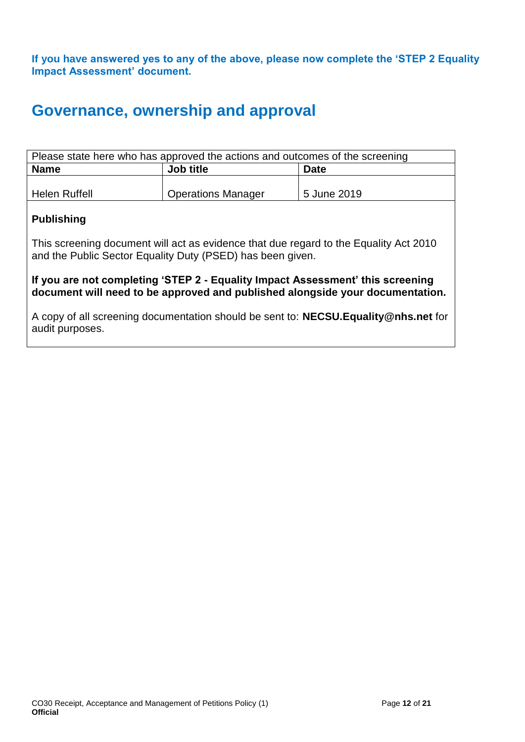**If you have answered yes to any of the above, please now complete the 'STEP 2 Equality Impact Assessment' document.**

## **Governance, ownership and approval**

| Please state here who has approved the actions and outcomes of the screening |                           |             |  |  |  |
|------------------------------------------------------------------------------|---------------------------|-------------|--|--|--|
| Job title<br><b>Name</b><br><b>Date</b>                                      |                           |             |  |  |  |
|                                                                              |                           |             |  |  |  |
| Helen Ruffell                                                                | <b>Operations Manager</b> | 5 June 2019 |  |  |  |

#### **Publishing**

This screening document will act as evidence that due regard to the Equality Act 2010 and the Public Sector Equality Duty (PSED) has been given.

**If you are not completing 'STEP 2 - Equality Impact Assessment' this screening document will need to be approved and published alongside your documentation.**

A copy of all screening documentation should be sent to: **[NECSU.Equality@nhs.net](mailto:NECSU.Equality@nhs.net)** for audit purposes.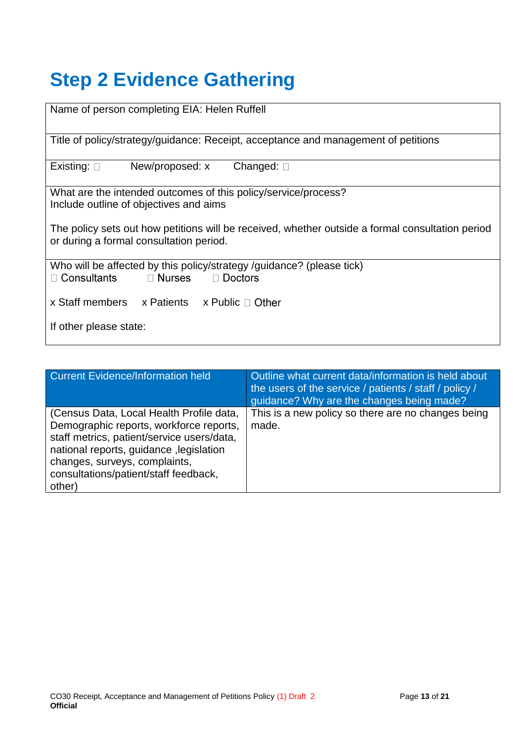# **Step 2 Evidence Gathering**

| Name of person completing EIA: Helen Ruffell                                                                                                |  |  |  |  |  |
|---------------------------------------------------------------------------------------------------------------------------------------------|--|--|--|--|--|
| Title of policy/strategy/guidance: Receipt, acceptance and management of petitions                                                          |  |  |  |  |  |
| New/proposed: x<br>Existing: $\square$<br>Changed: $\square$                                                                                |  |  |  |  |  |
| What are the intended outcomes of this policy/service/process?                                                                              |  |  |  |  |  |
|                                                                                                                                             |  |  |  |  |  |
| Include outline of objectives and aims                                                                                                      |  |  |  |  |  |
|                                                                                                                                             |  |  |  |  |  |
| The policy sets out how petitions will be received, whether outside a formal consultation period<br>or during a formal consultation period. |  |  |  |  |  |
| Who will be affected by this policy/strategy /guidance? (please tick)                                                                       |  |  |  |  |  |
|                                                                                                                                             |  |  |  |  |  |
| □ Consultants □ Nurses □ Doctors                                                                                                            |  |  |  |  |  |
|                                                                                                                                             |  |  |  |  |  |
| x Staff members $x$ Patients $x$ Public $\Box$ Other                                                                                        |  |  |  |  |  |
|                                                                                                                                             |  |  |  |  |  |
|                                                                                                                                             |  |  |  |  |  |
| If other please state:                                                                                                                      |  |  |  |  |  |
|                                                                                                                                             |  |  |  |  |  |
|                                                                                                                                             |  |  |  |  |  |

| Current Evidence/Information held                                                                                                                                                                                                                                | Outline what current data/information is held about<br>the users of the service $\sqrt{}$ patients / staff / policy /<br>guidance? Why are the changes being made? |
|------------------------------------------------------------------------------------------------------------------------------------------------------------------------------------------------------------------------------------------------------------------|--------------------------------------------------------------------------------------------------------------------------------------------------------------------|
| (Census Data, Local Health Profile data,<br>Demographic reports, workforce reports,<br>staff metrics, patient/service users/data,<br>national reports, guidance, legislation<br>changes, surveys, complaints,<br>consultations/patient/staff feedback,<br>other) | This is a new policy so there are no changes being<br>made.                                                                                                        |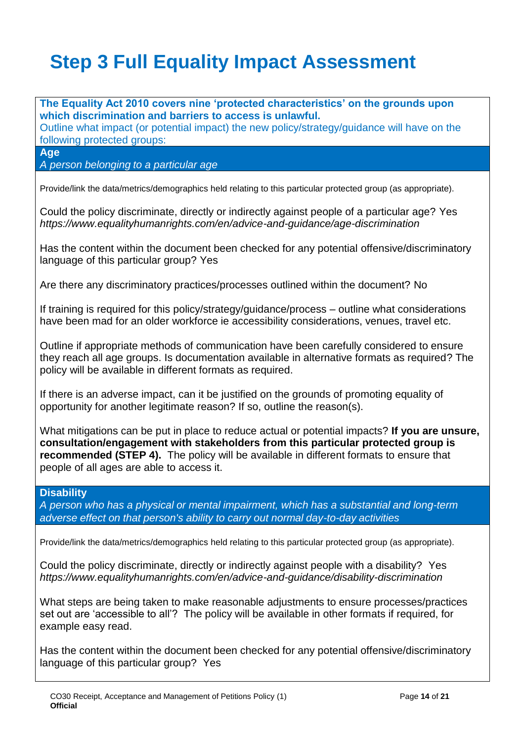# **Step 3 Full Equality Impact Assessment**

**The Equality Act 2010 covers nine 'protected characteristics' on the grounds upon which discrimination and barriers to access is unlawful.** Outline what impact (or potential impact) the new policy/strategy/guidance will have on the following protected groups: **Age** *A person belonging to a particular age* Provide/link the data/metrics/demographics held relating to this particular protected group (as appropriate). Could the policy discriminate, directly or indirectly against people of a particular age? Yes *<https://www.equalityhumanrights.com/en/advice-and-guidance/age-discrimination>* Has the content within the document been checked for any potential offensive/discriminatory language of this particular group? Yes Are there any discriminatory practices/processes outlined within the document? No If training is required for this policy/strategy/guidance/process – outline what considerations have been mad for an older workforce ie accessibility considerations, venues, travel etc. Outline if appropriate methods of communication have been carefully considered to ensure they reach all age groups. Is documentation available in alternative formats as required? The policy will be available in different formats as required. If there is an adverse impact, can it be justified on the grounds of promoting equality of opportunity for another legitimate reason? If so, outline the reason(s). What mitigations can be put in place to reduce actual or potential impacts? **If you are unsure, consultation/engagement with stakeholders from this particular protected group is recommended (STEP 4).** The policy will be available in different formats to ensure that people of all ages are able to access it. **Disability** *A person who has a physical or mental impairment, which has a substantial and long-term adverse effect on that person's ability to carry out normal day-to-day activities* Provide/link the data/metrics/demographics held relating to this particular protected group (as appropriate). Could the policy discriminate, directly or indirectly against people with a disability? Yes *<https://www.equalityhumanrights.com/en/advice-and-guidance/disability-discrimination>* What steps are being taken to make reasonable adjustments to ensure processes/practices set out are 'accessible to all'? The policy will be available in other formats if required, for example easy read. Has the content within the document been checked for any potential offensive/discriminatory language of this particular group? Yes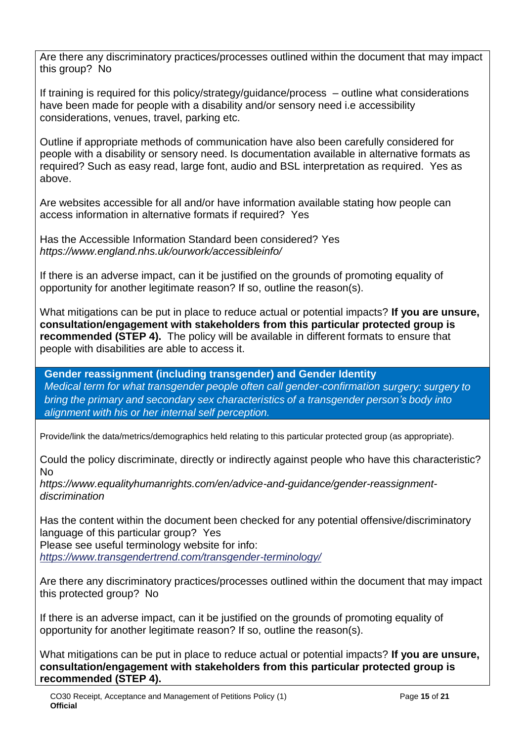Are there any discriminatory practices/processes outlined within the document that may impact this group? No

If training is required for this policy/strategy/guidance/process – outline what considerations have been made for people with a disability and/or sensory need i.e accessibility considerations, venues, travel, parking etc.

Outline if appropriate methods of communication have also been carefully considered for people with a disability or sensory need. Is documentation available in alternative formats as required? Such as easy read, large font, audio and BSL interpretation as required. Yes as above.

Are websites accessible for all and/or have information available stating how people can access information in alternative formats if required? Yes

Has the Accessible Information Standard been considered? Yes *<https://www.england.nhs.uk/ourwork/accessibleinfo/>*

If there is an adverse impact, can it be justified on the grounds of promoting equality of opportunity for another legitimate reason? If so, outline the reason(s).

What mitigations can be put in place to reduce actual or potential impacts? **If you are unsure, consultation/engagement with stakeholders from this particular protected group is recommended (STEP 4).** The policy will be available in different formats to ensure that people with disabilities are able to access it.

**Gender reassignment (including transgender) and Gender Identity** *Medical term for what transgender people often call gender-confirmation surgery; surgery to bring the primary and secondary sex characteristics of a transgender person's body into alignment with his or her internal self perception.*

Provide/link the data/metrics/demographics held relating to this particular protected group (as appropriate).

Could the policy discriminate, directly or indirectly against people who have this characteristic? No

*[https://www.equalityhumanrights.com/en/advice-and-guidance/gender-reassignment](https://www.equalityhumanrights.com/en/advice-and-guidance/gender-reassignment-discrimination)[discrimination](https://www.equalityhumanrights.com/en/advice-and-guidance/gender-reassignment-discrimination)*

Has the content within the document been checked for any potential offensive/discriminatory language of this particular group? Yes Please see useful terminology website for info:

*<https://www.transgendertrend.com/transgender-terminology/>*

Are there any discriminatory practices/processes outlined within the document that may impact this protected group? No

If there is an adverse impact, can it be justified on the grounds of promoting equality of opportunity for another legitimate reason? If so, outline the reason(s).

What mitigations can be put in place to reduce actual or potential impacts? **If you are unsure, consultation/engagement with stakeholders from this particular protected group is recommended (STEP 4).**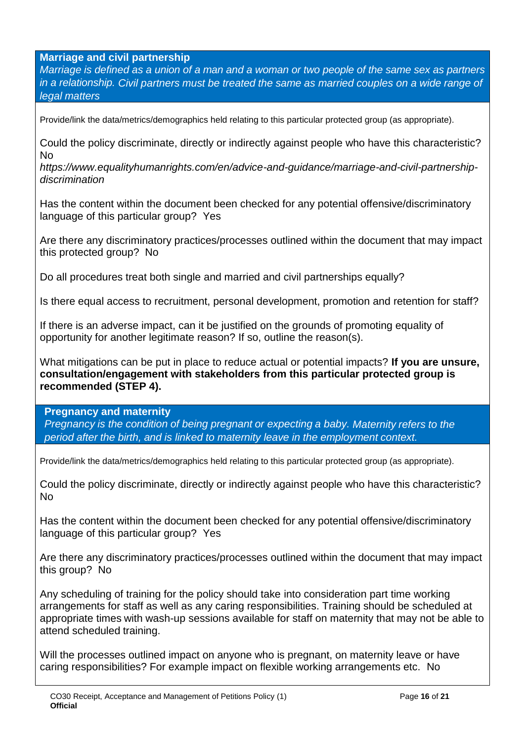**Marriage and civil partnership** 

*Marriage is defined as a union of a man and a woman or two people of the same sex as partners in a relationship. Civil partners must be treated the same as married couples on a wide range of legal matters*

Provide/link the data/metrics/demographics held relating to this particular protected group (as appropriate).

Could the policy discriminate, directly or indirectly against people who have this characteristic? No

*[https://www.equalityhumanrights.com/en/advice-and-guidance/marriage-and-civil-partnership](https://www.equalityhumanrights.com/en/advice-and-guidance/marriage-and-civil-partnership-discrimination)[discrimination](https://www.equalityhumanrights.com/en/advice-and-guidance/marriage-and-civil-partnership-discrimination)*

Has the content within the document been checked for any potential offensive/discriminatory language of this particular group? Yes

Are there any discriminatory practices/processes outlined within the document that may impact this protected group? No

Do all procedures treat both single and married and civil partnerships equally?

Is there equal access to recruitment, personal development, promotion and retention for staff?

If there is an adverse impact, can it be justified on the grounds of promoting equality of opportunity for another legitimate reason? If so, outline the reason(s).

What mitigations can be put in place to reduce actual or potential impacts? **If you are unsure, consultation/engagement with stakeholders from this particular protected group is recommended (STEP 4).**

**Pregnancy and maternity** 

*Pregnancy is the condition of being pregnant or expecting a baby. Maternity refers to the period after the birth, and is linked to maternity leave in the employment context.*

Provide/link the data/metrics/demographics held relating to this particular protected group (as appropriate).

Could the policy discriminate, directly or indirectly against people who have this characteristic? No

Has the content within the document been checked for any potential offensive/discriminatory language of this particular group? Yes

Are there any discriminatory practices/processes outlined within the document that may impact this group? No

Any scheduling of training for the policy should take into consideration part time working arrangements for staff as well as any caring responsibilities. Training should be scheduled at appropriate times with wash-up sessions available for staff on maternity that may not be able to attend scheduled training.

Will the processes outlined impact on anyone who is pregnant, on maternity leave or have caring responsibilities? For example impact on flexible working arrangements etc. No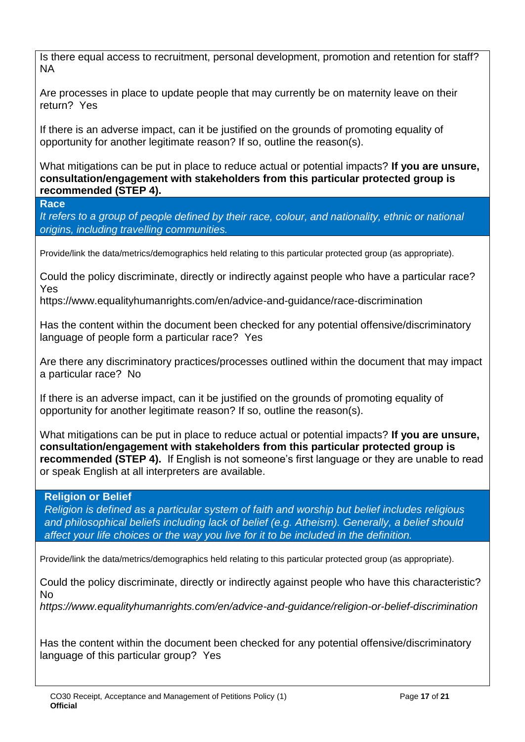Is there equal access to recruitment, personal development, promotion and retention for staff? NA

Are processes in place to update people that may currently be on maternity leave on their return? Yes

If there is an adverse impact, can it be justified on the grounds of promoting equality of opportunity for another legitimate reason? If so, outline the reason(s).

What mitigations can be put in place to reduce actual or potential impacts? **If you are unsure, consultation/engagement with stakeholders from this particular protected group is recommended (STEP 4).**

**Race**

*It refers to a group of people defined by their race, colour, and nationality, ethnic or national origins, including travelling communities.*

Provide/link the data/metrics/demographics held relating to this particular protected group (as appropriate).

Could the policy discriminate, directly or indirectly against people who have a particular race? Yes

<https://www.equalityhumanrights.com/en/advice-and-guidance/race-discrimination>

Has the content within the document been checked for any potential offensive/discriminatory language of people form a particular race? Yes

Are there any discriminatory practices/processes outlined within the document that may impact a particular race? No

If there is an adverse impact, can it be justified on the grounds of promoting equality of opportunity for another legitimate reason? If so, outline the reason(s).

What mitigations can be put in place to reduce actual or potential impacts? **If you are unsure, consultation/engagement with stakeholders from this particular protected group is recommended (STEP 4).** If English is not someone's first language or they are unable to read or speak English at all interpreters are available.

#### **Religion or Belief**

*Religion is defined as a particular system of faith and worship but belief includes religious and philosophical beliefs including lack of belief (e.g. Atheism). Generally, a belief should affect your life choices or the way you live for it to be included in the definition.*

Provide/link the data/metrics/demographics held relating to this particular protected group (as appropriate).

Could the policy discriminate, directly or indirectly against people who have this characteristic? No

*<https://www.equalityhumanrights.com/en/advice-and-guidance/religion-or-belief-discrimination>*

Has the content within the document been checked for any potential offensive/discriminatory language of this particular group? Yes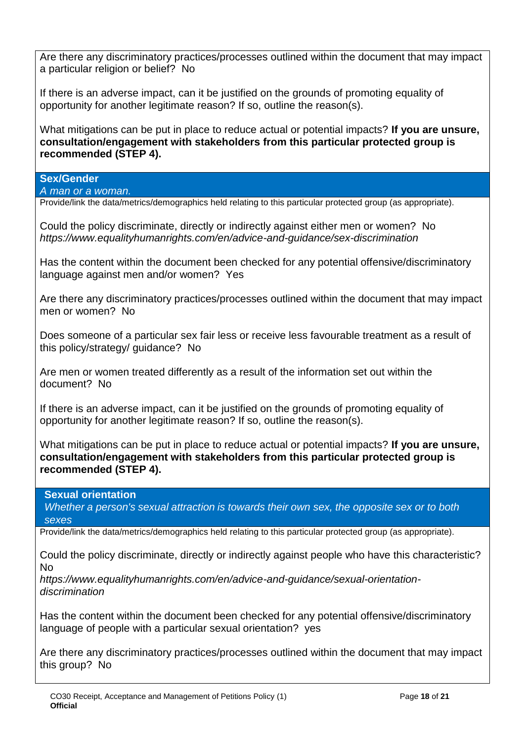Are there any discriminatory practices/processes outlined within the document that may impact a particular religion or belief? No

If there is an adverse impact, can it be justified on the grounds of promoting equality of opportunity for another legitimate reason? If so, outline the reason(s).

What mitigations can be put in place to reduce actual or potential impacts? **If you are unsure, consultation/engagement with stakeholders from this particular protected group is recommended (STEP 4).**

#### **Sex/Gender**

*A man or a woman.*

Provide/link the data/metrics/demographics held relating to this particular protected group (as appropriate).

Could the policy discriminate, directly or indirectly against either men or women? No *<https://www.equalityhumanrights.com/en/advice-and-guidance/sex-discrimination>*

Has the content within the document been checked for any potential offensive/discriminatory language against men and/or women? Yes

Are there any discriminatory practices/processes outlined within the document that may impact men or women? No

Does someone of a particular sex fair less or receive less favourable treatment as a result of this policy/strategy/ guidance? No

Are men or women treated differently as a result of the information set out within the document? No

If there is an adverse impact, can it be justified on the grounds of promoting equality of opportunity for another legitimate reason? If so, outline the reason(s).

What mitigations can be put in place to reduce actual or potential impacts? **If you are unsure, consultation/engagement with stakeholders from this particular protected group is recommended (STEP 4).**

#### **Sexual orientation**

*Whether a person's sexual attraction is towards their own sex, the opposite sex or to both sexes*

Provide/link the data/metrics/demographics held relating to this particular protected group (as appropriate).

Could the policy discriminate, directly or indirectly against people who have this characteristic? No

*[https://www.equalityhumanrights.com/en/advice-and-guidance/sexual-orientation](https://www.equalityhumanrights.com/en/advice-and-guidance/sexual-orientation-discrimination)[discrimination](https://www.equalityhumanrights.com/en/advice-and-guidance/sexual-orientation-discrimination)*

Has the content within the document been checked for any potential offensive/discriminatory language of people with a particular sexual orientation? yes

Are there any discriminatory practices/processes outlined within the document that may impact this group? No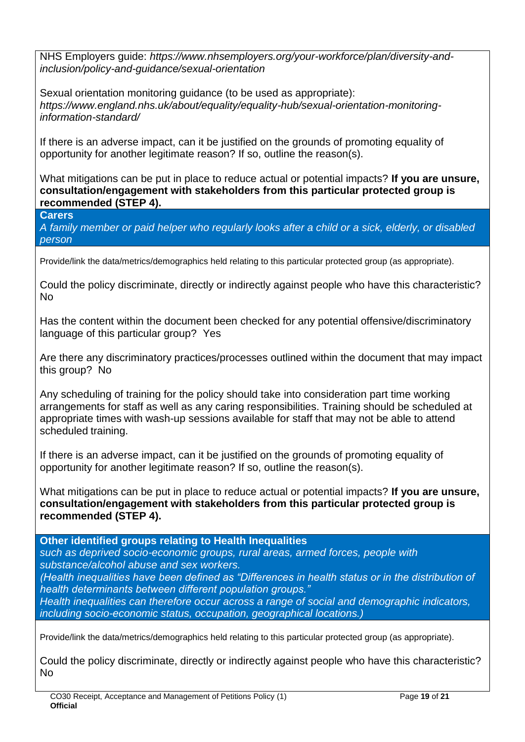NHS Employers guide: *[https://www.nhsemployers.org/your-workforce/plan/diversity-and](https://www.nhsemployers.org/your-workforce/plan/diversity-and-inclusion/policy-and-guidance/sexual-orientation)[inclusion/policy-and-guidance/sexual-orientation](https://www.nhsemployers.org/your-workforce/plan/diversity-and-inclusion/policy-and-guidance/sexual-orientation)*

Sexual orientation monitoring guidance (to be used as appropriate): *[https://www.england.nhs.uk/about/equality/equality-hub/sexual-orientation-monitoring](https://www.england.nhs.uk/about/equality/equality-hub/sexual-orientation-monitoring-information-standard/)[information-standard/](https://www.england.nhs.uk/about/equality/equality-hub/sexual-orientation-monitoring-information-standard/)*

If there is an adverse impact, can it be justified on the grounds of promoting equality of opportunity for another legitimate reason? If so, outline the reason(s).

What mitigations can be put in place to reduce actual or potential impacts? **If you are unsure, consultation/engagement with stakeholders from this particular protected group is recommended (STEP 4).**

**Carers**

*A family member or paid [helper](http://www.oxforddictionaries.com/definition/english/%20http:/www.oxforddictionaries.com/definition/english/helper#helper__2) who regularly looks after a child or a [sick,](http://www.oxforddictionaries.com/definition/english/%20http:/www.oxforddictionaries.com/definition/english/sick#sick__2) [elderly,](http://www.oxforddictionaries.com/definition/english/%20http:/www.oxforddictionaries.com/definition/english/elderly#elderly__2) or [disabled](http://www.oxforddictionaries.com/definition/english/%20http:/www.oxforddictionaries.com/definition/english/disabled#disabled__2) person*

Provide/link the data/metrics/demographics held relating to this particular protected group (as appropriate).

Could the policy discriminate, directly or indirectly against people who have this characteristic? No

Has the content within the document been checked for any potential offensive/discriminatory language of this particular group? Yes

Are there any discriminatory practices/processes outlined within the document that may impact this group? No

Any scheduling of training for the policy should take into consideration part time working arrangements for staff as well as any caring responsibilities. Training should be scheduled at appropriate times with wash-up sessions available for staff that may not be able to attend scheduled training.

If there is an adverse impact, can it be justified on the grounds of promoting equality of opportunity for another legitimate reason? If so, outline the reason(s).

What mitigations can be put in place to reduce actual or potential impacts? **If you are unsure, consultation/engagement with stakeholders from this particular protected group is recommended (STEP 4).**

**Other identified groups relating to Health Inequalities** 

*such as deprived socio-economic groups, rural areas, armed forces, people with substance/alcohol abuse and sex workers.*

*(Health inequalities have been defined as "Differences in health status or in the distribution of health determinants between different population groups."*

*Health inequalities can therefore occur across a range of social and demographic indicators, including socio-economic status, occupation, geographical locations.)*

Provide/link the data/metrics/demographics held relating to this particular protected group (as appropriate).

Could the policy discriminate, directly or indirectly against people who have this characteristic? No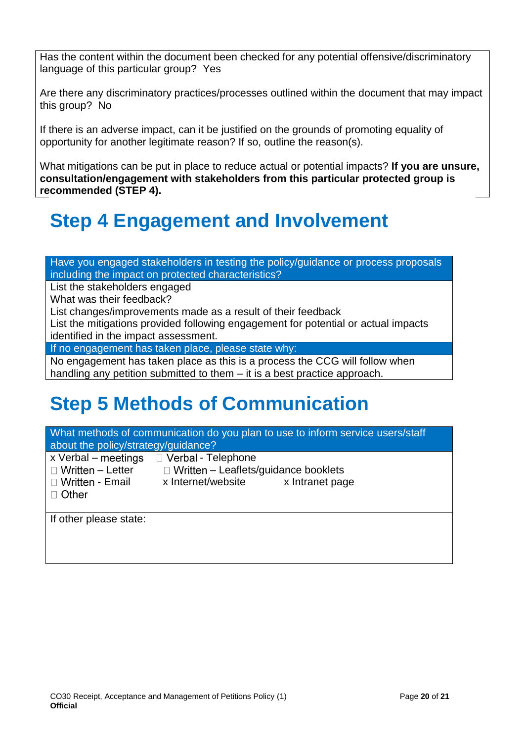Has the content within the document been checked for any potential offensive/discriminatory language of this particular group? Yes

Are there any discriminatory practices/processes outlined within the document that may impact this group? No

If there is an adverse impact, can it be justified on the grounds of promoting equality of opportunity for another legitimate reason? If so, outline the reason(s).

What mitigations can be put in place to reduce actual or potential impacts? **If you are unsure, consultation/engagement with stakeholders from this particular protected group is recommended (STEP 4).**

# **Step 4 Engagement and Involvement**

Have you engaged stakeholders in testing the policy/guidance or process proposals including the impact on protected characteristics?

List the stakeholders engaged

What was their feedback?

List changes/improvements made as a result of their feedback

List the mitigations provided following engagement for potential or actual impacts identified in the impact assessment.

If no engagement has taken place, please state why:

No engagement has taken place as this is a process the CCG will follow when handling any petition submitted to them – it is a best practice approach.

# **Step 5 Methods of Communication**

| What methods of communication do you plan to use to inform service users/staff<br>about the policy/strategy/guidance? |                                             |  |  |  |  |  |  |
|-----------------------------------------------------------------------------------------------------------------------|---------------------------------------------|--|--|--|--|--|--|
| $x$ Verbal – meetings                                                                                                 | □ Verbal - Telephone                        |  |  |  |  |  |  |
| $\Box$ Written - Letter                                                                                               | $\Box$ Written - Leaflets/guidance booklets |  |  |  |  |  |  |
| □ Written - Email                                                                                                     | x Internet/website<br>x Intranet page       |  |  |  |  |  |  |
| $\Box$ Other                                                                                                          |                                             |  |  |  |  |  |  |
|                                                                                                                       |                                             |  |  |  |  |  |  |
| If other please state:                                                                                                |                                             |  |  |  |  |  |  |
|                                                                                                                       |                                             |  |  |  |  |  |  |
|                                                                                                                       |                                             |  |  |  |  |  |  |